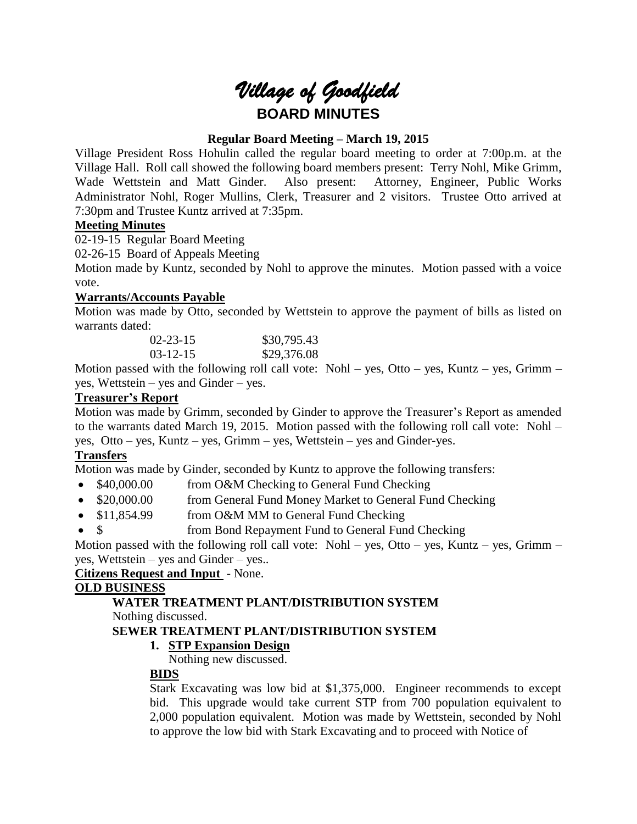# *Village of Goodfield* **BOARD MINUTES**

# **Regular Board Meeting – March 19, 2015**

Village President Ross Hohulin called the regular board meeting to order at 7:00p.m. at the Village Hall. Roll call showed the following board members present: Terry Nohl, Mike Grimm, Wade Wettstein and Matt Ginder. Also present: Attorney, Engineer, Public Works Administrator Nohl, Roger Mullins, Clerk, Treasurer and 2 visitors. Trustee Otto arrived at 7:30pm and Trustee Kuntz arrived at 7:35pm.

# **Meeting Minutes**

02-19-15 Regular Board Meeting

02-26-15 Board of Appeals Meeting

Motion made by Kuntz, seconded by Nohl to approve the minutes. Motion passed with a voice vote.

## **Warrants/Accounts Payable**

Motion was made by Otto, seconded by Wettstein to approve the payment of bills as listed on warrants dated:

| $02 - 23 - 15$ | \$30,795.43 |
|----------------|-------------|
| $03-12-15$     | \$29,376.08 |

Motion passed with the following roll call vote: Nohl – yes, Otto – yes, Kuntz – yes, Grimm – yes, Wettstein – yes and Ginder – yes.

# **Treasurer's Report**

Motion was made by Grimm, seconded by Ginder to approve the Treasurer's Report as amended to the warrants dated March 19, 2015. Motion passed with the following roll call vote: Nohl – yes, Otto – yes, Kuntz – yes, Grimm – yes, Wettstein – yes and Ginder-yes.

# **Transfers**

Motion was made by Ginder, seconded by Kuntz to approve the following transfers:

- \$40,000.00 from O&M Checking to General Fund Checking
- \$20,000.00 from General Fund Money Market to General Fund Checking
- \$11,854.99 from O&M MM to General Fund Checking
- \$ from Bond Repayment Fund to General Fund Checking

Motion passed with the following roll call vote: Nohl – yes, Otto – yes, Kuntz – yes, Grimm – yes, Wettstein – yes and Ginder – yes..

## **Citizens Request and Input** - None.

## **OLD BUSINESS**

# **WATER TREATMENT PLANT/DISTRIBUTION SYSTEM**

Nothing discussed.

## **SEWER TREATMENT PLANT/DISTRIBUTION SYSTEM**

# **1. STP Expansion Design**

Nothing new discussed.

## **BIDS**

Stark Excavating was low bid at \$1,375,000. Engineer recommends to except bid. This upgrade would take current STP from 700 population equivalent to 2,000 population equivalent. Motion was made by Wettstein, seconded by Nohl to approve the low bid with Stark Excavating and to proceed with Notice of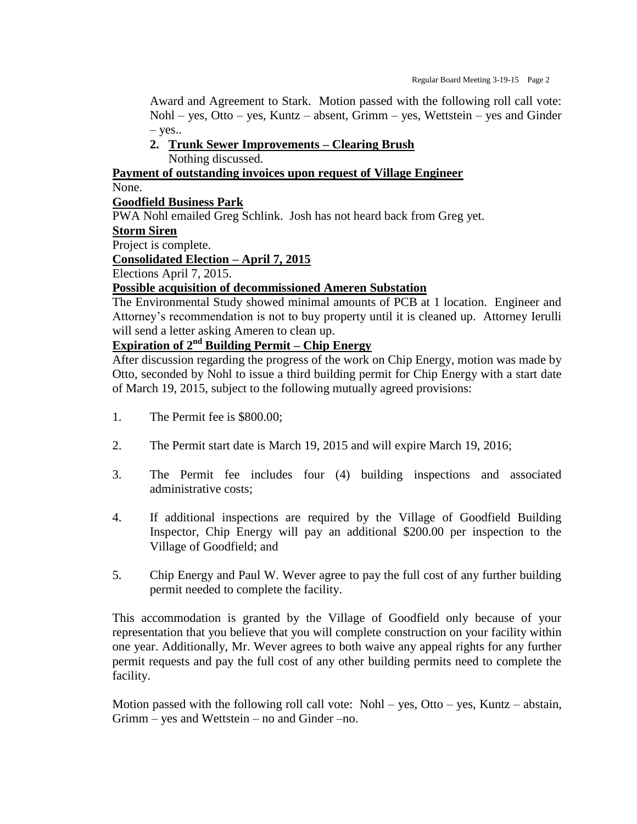Award and Agreement to Stark. Motion passed with the following roll call vote: Nohl – yes, Otto – yes, Kuntz – absent, Grimm – yes, Wettstein – yes and Ginder  $-$  yes..

**2. Trunk Sewer Improvements – Clearing Brush** Nothing discussed.

**Payment of outstanding invoices upon request of Village Engineer** None.

### **Goodfield Business Park**

PWA Nohl emailed Greg Schlink. Josh has not heard back from Greg yet.

#### **Storm Siren**

Project is complete.

**Consolidated Election – April 7, 2015**

Elections April 7, 2015.

### **Possible acquisition of decommissioned Ameren Substation**

The Environmental Study showed minimal amounts of PCB at 1 location. Engineer and Attorney's recommendation is not to buy property until it is cleaned up. Attorney Ierulli will send a letter asking Ameren to clean up.

# **Expiration of 2nd Building Permit – Chip Energy**

After discussion regarding the progress of the work on Chip Energy, motion was made by Otto, seconded by Nohl to issue a third building permit for Chip Energy with a start date of March 19, 2015, subject to the following mutually agreed provisions:

- 1. The Permit fee is \$800.00;
- 2. The Permit start date is March 19, 2015 and will expire March 19, 2016;
- 3. The Permit fee includes four (4) building inspections and associated administrative costs;
- 4. If additional inspections are required by the Village of Goodfield Building Inspector, Chip Energy will pay an additional \$200.00 per inspection to the Village of Goodfield; and
- 5. Chip Energy and Paul W. Wever agree to pay the full cost of any further building permit needed to complete the facility.

This accommodation is granted by the Village of Goodfield only because of your representation that you believe that you will complete construction on your facility within one year. Additionally, Mr. Wever agrees to both waive any appeal rights for any further permit requests and pay the full cost of any other building permits need to complete the facility.

Motion passed with the following roll call vote: Nohl – yes, Otto – yes, Kuntz – abstain, Grimm – yes and Wettstein – no and Ginder –no.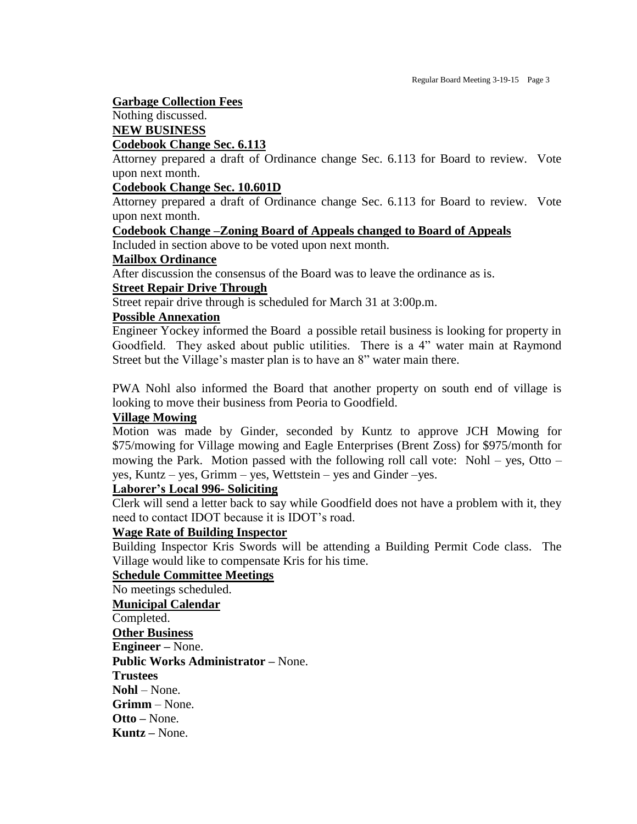### **Garbage Collection Fees**

# Nothing discussed.

### **NEW BUSINESS**

# **Codebook Change Sec. 6.113**

Attorney prepared a draft of Ordinance change Sec. 6.113 for Board to review. Vote upon next month.

### **Codebook Change Sec. 10.601D**

Attorney prepared a draft of Ordinance change Sec. 6.113 for Board to review. Vote upon next month.

### **Codebook Change –Zoning Board of Appeals changed to Board of Appeals**

Included in section above to be voted upon next month.

### **Mailbox Ordinance**

After discussion the consensus of the Board was to leave the ordinance as is.

## **Street Repair Drive Through**

Street repair drive through is scheduled for March 31 at 3:00p.m.

### **Possible Annexation**

Engineer Yockey informed the Board a possible retail business is looking for property in Goodfield. They asked about public utilities. There is a 4" water main at Raymond Street but the Village's master plan is to have an 8" water main there.

PWA Nohl also informed the Board that another property on south end of village is looking to move their business from Peoria to Goodfield.

#### **Village Mowing**

Motion was made by Ginder, seconded by Kuntz to approve JCH Mowing for \$75/mowing for Village mowing and Eagle Enterprises (Brent Zoss) for \$975/month for mowing the Park. Motion passed with the following roll call vote: Nohl – yes, Otto – yes, Kuntz – yes, Grimm – yes, Wettstein – yes and Ginder –yes.

## **Laborer's Local 996- Soliciting**

Clerk will send a letter back to say while Goodfield does not have a problem with it, they need to contact IDOT because it is IDOT's road.

## **Wage Rate of Building Inspector**

Building Inspector Kris Swords will be attending a Building Permit Code class. The Village would like to compensate Kris for his time.

# **Schedule Committee Meetings**

No meetings scheduled. **Municipal Calendar** Completed. **Other Business Engineer –** None. **Public Works Administrator –** None. **Trustees Nohl** – None. **Grimm** – None. **Otto –** None. **Kuntz –** None.